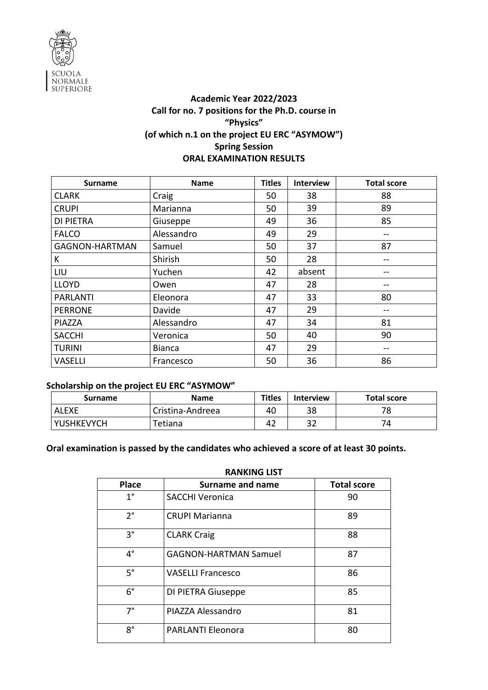

## **Academic Year 2022/2023 Call for no. 7 positions for the Ph.D. course in "Physics" (of which n.1 on the project EU ERC "ASYMOW") Spring Session ORAL EXAMINATION RESULTS**

| <b>Surname</b>        | <b>Name</b>   | <b>Titles</b> | <b>Interview</b> | <b>Total score</b> |
|-----------------------|---------------|---------------|------------------|--------------------|
| <b>CLARK</b>          | Craig         | 50            | 38               | 88                 |
| <b>CRUPI</b>          | Marianna      | 50            | 39               | 89                 |
| <b>DI PIETRA</b>      | Giuseppe      | 49            | 36               | 85                 |
| <b>FALCO</b>          | Alessandro    | 49            | 29               |                    |
| <b>GAGNON-HARTMAN</b> | Samuel        | 50            | 37               | 87                 |
| К                     | Shirish       | 50            | 28               |                    |
| LIU                   | Yuchen        | 42            | absent           |                    |
| <b>LLOYD</b>          | Owen          | 47            | 28               |                    |
| <b>PARLANTI</b>       | Eleonora      | 47            | 33               | 80                 |
| <b>PERRONE</b>        | Davide        | 47            | 29               |                    |
| PIAZZA                | Alessandro    | 47            | 34               | 81                 |
| <b>SACCHI</b>         | Veronica      | 50            | 40               | 90                 |
| <b>TURINI</b>         | <b>Bianca</b> | 47            | 29               |                    |
| <b>VASELLI</b>        | Francesco     | 50            | 36               | 86                 |

#### **Scholarship on the project EU ERC "ASYMOW"**

| <b>Surname</b>    | <b>Name</b>      | <b>Titles</b> | <b>Interview</b> | <b>Total score</b> |
|-------------------|------------------|---------------|------------------|--------------------|
| <b>ALEXE</b>      | Cristina-Andreea | 40            | 38               | 70                 |
| <b>YUSHKEVYCH</b> | Tetiana          | 42            | 32               |                    |

## **Oral examination is passed by the candidates who achieved a score of at least 30 points.**

| <b>RANKING LIST</b> |                              |                    |  |  |
|---------------------|------------------------------|--------------------|--|--|
| <b>Place</b>        | <b>Surname and name</b>      | <b>Total score</b> |  |  |
| $1^{\circ}$         | <b>SACCHI Veronica</b>       | 90                 |  |  |
| $2^{\circ}$         | <b>CRUPI Marianna</b>        | 89                 |  |  |
| $3^{\circ}$         | <b>CLARK Craig</b>           | 88                 |  |  |
| $4^{\circ}$         | <b>GAGNON-HARTMAN Samuel</b> | 87                 |  |  |
| $5^{\circ}$         | <b>VASELLI Francesco</b>     | 86                 |  |  |
| $6^{\circ}$         | DI PIETRA Giuseppe           | 85                 |  |  |
| 7°                  | PIAZZA Alessandro            | 81                 |  |  |
| $8^{\circ}$         | <b>PARLANTI Eleonora</b>     | 80                 |  |  |

#### **RANKING LIST**